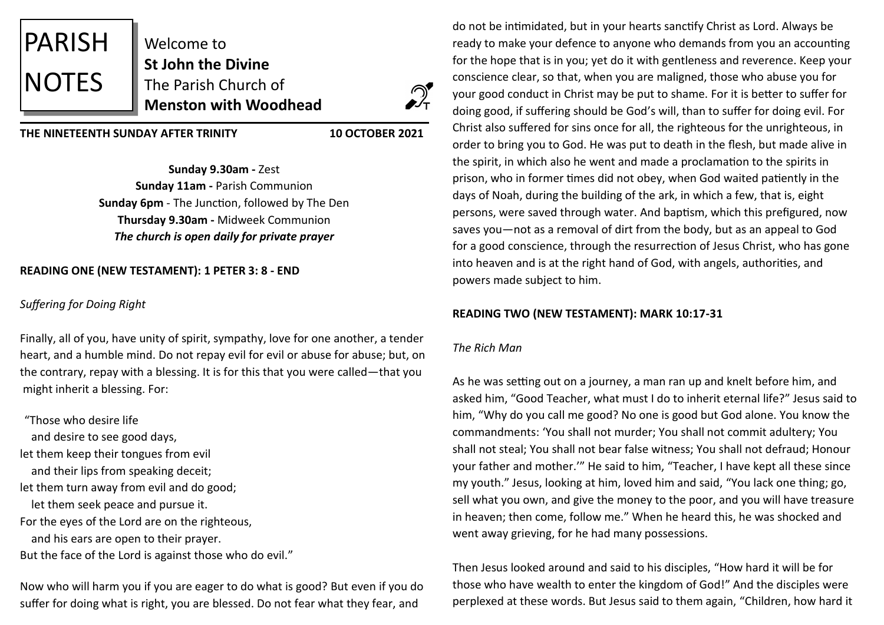

Welcome to **St John the Divine**  The Parish Church of **Menston with Woodhead**



**THE NINETEENTH SUNDAY AFTER TRINITY 10 OCTOBER 2021**

**Sunday 9.30am -** Zest **Sunday 11am -** Parish Communion **Sunday 6pm** - The Junction, followed by The Den **Thursday 9.30am -** Midweek Communion *The church is open daily for private prayer*

## **READING ONE (NEW TESTAMENT): 1 PETER 3: 8 - END**

## *Suffering for Doing Right*

Finally, all of you, have unity of spirit, sympathy, love for one another, a tender heart, and a humble mind. Do not repay evil for evil or abuse for abuse; but, on the contrary, repay with a blessing. It is for this that you were called—that you might inherit a blessing. For:

<sup>h</sup>"Those who desire life and desire to see good days, let them keep their tongues from evil and their lips from speaking deceit; let them turn away from evil and do good; let them seek peace and pursue it. For the eyes of the Lord are on the righteous, and his ears are open to their prayer. But the face of the Lord is against those who do evil."

Now who will harm you if you are eager to do what is good? But even if you do suffer for doing what is right, you are blessed. Do not fear what they fear, and

do not be intimidated, but in your hearts sanctify Christ as Lord. Always be ready to make your defence to anyone who demands from you an accounting for the hope that is in you; yet do it with gentleness and reverence. Keep your conscience clear, so that, when you are maligned, those who abuse you for your good conduct in Christ may be put to shame. For it is better to suffer for doing good, if suffering should be God's will, than to suffer for doing evil. For Christ also suffered for sins once for all, the righteous for the unrighteous, in order to bring you to God. He was put to death in the flesh, but made alive in the spirit, in which also he went and made a proclamation to the spirits in prison, who in former times did not obey, when God waited patiently in the days of Noah, during the building of the ark, in which a few, that is, eight persons, were saved through water. And baptism, which this prefigured, now saves you—not as a removal of dirt from the body, but as an appeal to God for a good conscience, through the resurrection of Jesus Christ, who has gone into heaven and is at the right hand of God, with angels, authorities, and powers made subject to him.

# **READING TWO (NEW TESTAMENT): MARK 10:17-31**

### *The Rich Man*

As he was setting out on a journey, a man ran up and knelt before him, and asked him, "Good Teacher, what must I do to inherit eternal life?" Jesus said to him, "Why do you call me good? No one is good but God alone. You know the commandments: 'You shall not murder; You shall not commit adultery; You shall not steal; You shall not bear false witness; You shall not defraud; Honour your father and mother.'" He said to him, "Teacher, I have kept all these since my youth." Jesus, looking at him, loved him and said, "You lack one thing; go, sell what you own, and give the money to the poor, and you will have treasure in heaven; then come, follow me." When he heard this, he was shocked and went away grieving, for he had many possessions.

Then Jesus looked around and said to his disciples, "How hard it will be for those who have wealth to enter the kingdom of God!" And the disciples were perplexed at these words. But Jesus said to them again, "Children, how hard it